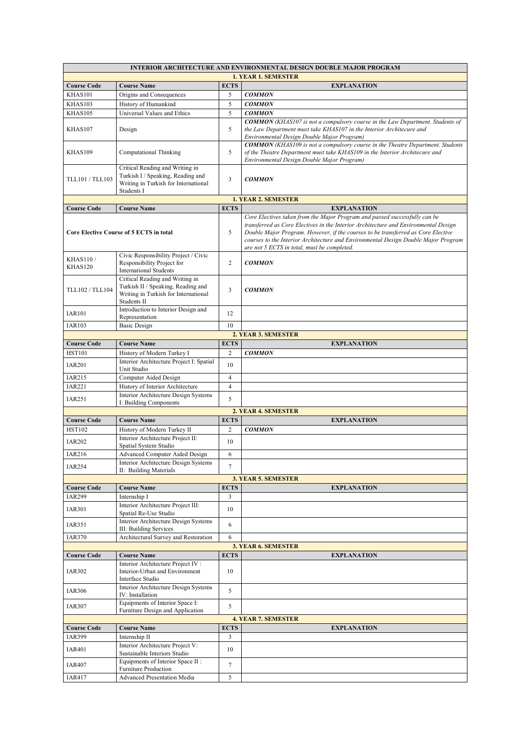| <b>INTERIOR ARCHITECTURE AND ENVIRONMENTAL DESIGN DOUBLE MAJOR PROGRAM</b> |                                                                                                                                                               |                |                                                                                                                                                                                                                                                                                                                                                                                            |  |  |  |
|----------------------------------------------------------------------------|---------------------------------------------------------------------------------------------------------------------------------------------------------------|----------------|--------------------------------------------------------------------------------------------------------------------------------------------------------------------------------------------------------------------------------------------------------------------------------------------------------------------------------------------------------------------------------------------|--|--|--|
| <b>1. YEAR 1. SEMESTER</b>                                                 |                                                                                                                                                               |                |                                                                                                                                                                                                                                                                                                                                                                                            |  |  |  |
| <b>Course Code</b>                                                         | <b>Course Name</b>                                                                                                                                            | <b>ECTS</b>    | <b>EXPLANATION</b>                                                                                                                                                                                                                                                                                                                                                                         |  |  |  |
| KHAS101                                                                    | Origins and Consequences                                                                                                                                      | 5              | <b>COMMON</b>                                                                                                                                                                                                                                                                                                                                                                              |  |  |  |
| KHAS103                                                                    | History of Humankind                                                                                                                                          | 5              | <b>COMMON</b>                                                                                                                                                                                                                                                                                                                                                                              |  |  |  |
| KHAS105                                                                    | Universal Values and Ethics                                                                                                                                   | 5              | <b>COMMON</b>                                                                                                                                                                                                                                                                                                                                                                              |  |  |  |
| KHAS107                                                                    | Design                                                                                                                                                        | 5              | <b>COMMON</b> (KHAS107 is not a compulsory course in the Law Department. Students of<br>the Law Department must take KHAS107 in the Interior Architecure and<br>Environmental Design Double Major Program)                                                                                                                                                                                 |  |  |  |
| KHAS109                                                                    | Computational Thinking                                                                                                                                        | 5              | <b>COMMON</b> (KHAS109 is not a compulsory course in the Theatre Department. Students<br>of the Theatre Department must take KHAS109 in the Interior Architecure and<br>Environmental Design Double Major Program)                                                                                                                                                                         |  |  |  |
| TLL101 / TLL103                                                            | Critical Reading and Writing in<br>Turkish I / Speaking, Reading and<br>Writing in Turkish for International<br>Students I                                    | 3              | <b>COMMON</b>                                                                                                                                                                                                                                                                                                                                                                              |  |  |  |
|                                                                            |                                                                                                                                                               |                | <b>1. YEAR 2. SEMESTER</b>                                                                                                                                                                                                                                                                                                                                                                 |  |  |  |
| <b>Course Code</b>                                                         | <b>Course Name</b>                                                                                                                                            | <b>ECTS</b>    | <b>EXPLANATION</b>                                                                                                                                                                                                                                                                                                                                                                         |  |  |  |
| <b>Core Elective Course of 5 ECTS in total</b>                             |                                                                                                                                                               | 5              | Core Electives taken from the Major Program and passed successfully can be<br>transferred as Core Electives in the Interior Architecture and Environmental Design<br>Double Major Program. However, if the courses to be transferred as Core Elective<br>courses to the Interior Architecture and Environmental Design Double Major Program<br>are not 5 ECTS in total, must be completed. |  |  |  |
| <b>KHAS110/</b>                                                            | Civic Responsibility Project / Civic                                                                                                                          |                |                                                                                                                                                                                                                                                                                                                                                                                            |  |  |  |
| KHAS120                                                                    | Responsibility Project for                                                                                                                                    | 2              | <b>COMMON</b>                                                                                                                                                                                                                                                                                                                                                                              |  |  |  |
| TLL102 / TLL104                                                            | <b>International Students</b><br>Critical Reading and Writing in<br>Turkish II / Speaking, Reading and<br>Writing in Turkish for International<br>Students II | 3              | <b>COMMON</b>                                                                                                                                                                                                                                                                                                                                                                              |  |  |  |
| <b>IAR101</b>                                                              | Introduction to Interior Design and                                                                                                                           | 12             |                                                                                                                                                                                                                                                                                                                                                                                            |  |  |  |
| <b>IAR103</b>                                                              | Representation                                                                                                                                                | 10             |                                                                                                                                                                                                                                                                                                                                                                                            |  |  |  |
|                                                                            | <b>Basic Design</b>                                                                                                                                           |                | 2. YEAR 3. SEMESTER                                                                                                                                                                                                                                                                                                                                                                        |  |  |  |
| <b>Course Code</b>                                                         | <b>Course Name</b>                                                                                                                                            | <b>ECTS</b>    | <b>EXPLANATION</b>                                                                                                                                                                                                                                                                                                                                                                         |  |  |  |
| <b>HST101</b>                                                              | History of Modern Turkey I                                                                                                                                    | $\overline{2}$ | <b>COMMON</b>                                                                                                                                                                                                                                                                                                                                                                              |  |  |  |
|                                                                            | Interior Architecture Project I: Spatial                                                                                                                      |                |                                                                                                                                                                                                                                                                                                                                                                                            |  |  |  |
| <b>IAR201</b>                                                              | Unit Studio                                                                                                                                                   | 10             |                                                                                                                                                                                                                                                                                                                                                                                            |  |  |  |
| <b>IAR215</b>                                                              | Computer Aided Design                                                                                                                                         | $\overline{4}$ |                                                                                                                                                                                                                                                                                                                                                                                            |  |  |  |
| <b>IAR221</b>                                                              | History of Interior Architecture                                                                                                                              | $\overline{4}$ |                                                                                                                                                                                                                                                                                                                                                                                            |  |  |  |
| <b>IAR251</b>                                                              | Interior Architecture Design Systems                                                                                                                          | 5              |                                                                                                                                                                                                                                                                                                                                                                                            |  |  |  |
|                                                                            | I: Building Components                                                                                                                                        |                |                                                                                                                                                                                                                                                                                                                                                                                            |  |  |  |
|                                                                            |                                                                                                                                                               |                | 2. YEAR 4. SEMESTER                                                                                                                                                                                                                                                                                                                                                                        |  |  |  |
| <b>Course Code</b>                                                         | <b>Course Name</b>                                                                                                                                            | <b>ECTS</b>    | <b>EXPLANATION</b>                                                                                                                                                                                                                                                                                                                                                                         |  |  |  |
| <b>HST102</b>                                                              | History of Modern Turkey II                                                                                                                                   | 2              | <b>COMMON</b>                                                                                                                                                                                                                                                                                                                                                                              |  |  |  |
| <b>IAR202</b>                                                              | Interior Architecture Project II:<br>Spatial System Studio                                                                                                    | 10             |                                                                                                                                                                                                                                                                                                                                                                                            |  |  |  |
| IAR216                                                                     | <b>Advanced Computer Aided Design</b>                                                                                                                         | 6              |                                                                                                                                                                                                                                                                                                                                                                                            |  |  |  |
|                                                                            | Interior Architecture Design Systems                                                                                                                          |                |                                                                                                                                                                                                                                                                                                                                                                                            |  |  |  |
| <b>IAR254</b>                                                              | II: Building Materials                                                                                                                                        | $\tau$         |                                                                                                                                                                                                                                                                                                                                                                                            |  |  |  |
|                                                                            |                                                                                                                                                               |                | 3. YEAR 5. SEMESTER                                                                                                                                                                                                                                                                                                                                                                        |  |  |  |
| <b>Course Code</b>                                                         | <b>Course Name</b>                                                                                                                                            | <b>ECTS</b>    | <b>EXPLANATION</b>                                                                                                                                                                                                                                                                                                                                                                         |  |  |  |
| <b>IAR299</b>                                                              | Internship I                                                                                                                                                  | 3              |                                                                                                                                                                                                                                                                                                                                                                                            |  |  |  |
| <b>IAR301</b>                                                              | Interior Architecture Project III:<br>Spatial Re-Use Studio<br>Interior Architecture Design Systems                                                           | 10             |                                                                                                                                                                                                                                                                                                                                                                                            |  |  |  |
| IAR351                                                                     | III: Building Services                                                                                                                                        | 6              |                                                                                                                                                                                                                                                                                                                                                                                            |  |  |  |
| <b>IAR370</b>                                                              | Architectural Survey and Restoration                                                                                                                          | 6              |                                                                                                                                                                                                                                                                                                                                                                                            |  |  |  |
|                                                                            |                                                                                                                                                               |                | <b>3. YEAR 6. SEMESTER</b>                                                                                                                                                                                                                                                                                                                                                                 |  |  |  |
| <b>Course Code</b>                                                         | <b>Course Name</b>                                                                                                                                            | <b>ECTS</b>    | <b>EXPLANATION</b>                                                                                                                                                                                                                                                                                                                                                                         |  |  |  |
| <b>IAR302</b>                                                              | Interior Architecture Project IV:<br>Interior-Urban and Environment<br>Interface Studio                                                                       | 10             |                                                                                                                                                                                                                                                                                                                                                                                            |  |  |  |
| <b>IAR306</b>                                                              | Interior Architecture Design Systems<br>IV: Installation                                                                                                      | 5              |                                                                                                                                                                                                                                                                                                                                                                                            |  |  |  |
| <b>IAR307</b>                                                              | Equipments of Interior Space I:<br>Furniture Design and Application                                                                                           | 5              |                                                                                                                                                                                                                                                                                                                                                                                            |  |  |  |
|                                                                            |                                                                                                                                                               |                | <b>4. YEAR 7. SEMESTER</b>                                                                                                                                                                                                                                                                                                                                                                 |  |  |  |
| <b>Course Code</b>                                                         | <b>Course Name</b>                                                                                                                                            | <b>ECTS</b>    | <b>EXPLANATION</b>                                                                                                                                                                                                                                                                                                                                                                         |  |  |  |
| <b>IAR399</b>                                                              | Internship II                                                                                                                                                 | 3              |                                                                                                                                                                                                                                                                                                                                                                                            |  |  |  |
| <b>IAR401</b>                                                              | Interior Architecture Project V:                                                                                                                              | 10             |                                                                                                                                                                                                                                                                                                                                                                                            |  |  |  |
| <b>IAR407</b>                                                              | Sustainable Interiors Studio<br>Equipments of Interior Space II :<br>Furniture Production                                                                     | $\tau$         |                                                                                                                                                                                                                                                                                                                                                                                            |  |  |  |
| IAR417                                                                     | Advanced Presentation Media                                                                                                                                   | 5              |                                                                                                                                                                                                                                                                                                                                                                                            |  |  |  |
|                                                                            |                                                                                                                                                               |                |                                                                                                                                                                                                                                                                                                                                                                                            |  |  |  |